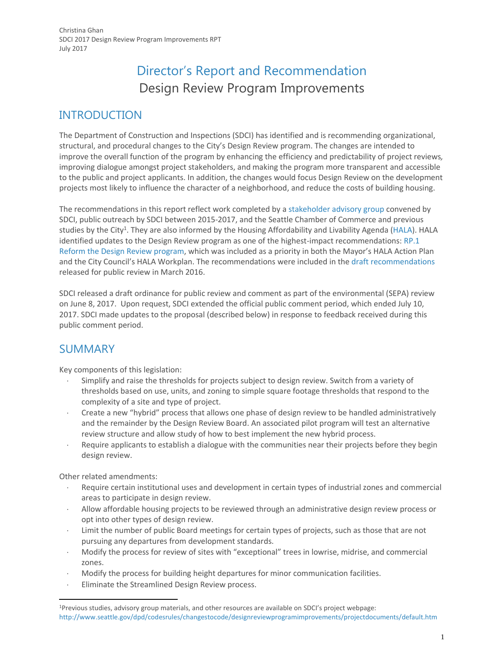# Director's Report and Recommendation Design Review Program Improvements

## INTRODUCTION

The Department of Construction and Inspections (SDCI) has identified and is recommending organizational, structural, and procedural changes to the City's Design Review program. The changes are intended to improve the overall function of the program by enhancing the efficiency and predictability of project reviews*,*  improving dialogue amongst project stakeholders, and making the program more transparent and accessible to the public and project applicants. In addition, the changes would focus Design Review on the development projects most likely to influence the character of a neighborhood, and reduce the costs of building housing.

The recommendations in this report reflect work completed by [a stakeholder advisory group](http://www.seattle.gov/dpd/codesrules/changestocode/designreviewprogramimprovements/background/default.htm) convened by SDCI, public outreach by SDCI between 2015-2017, and the Seattle Chamber of Commerce and previous studies by the City<sup>1</sup>. They are also informed by the Housing Affordability and Livability Agenda [\(HALA\)](http://www.seattle.gov/hala). HALA identified updates to the Design Review program as one of the highest-impact recommendations[: RP.1](http://www.seattle.gov/Documents/Departments/HALA/Policy/HALA_Report_2015.pdf)  [Reform the Design Review program,](http://www.seattle.gov/Documents/Departments/HALA/Policy/HALA_Report_2015.pdf) which was included as a priority in both the Mayor's HALA Action Plan and the City Council's HALA Workplan. The recommendations were included in the [draft recommendations](http://www.seattle.gov/dpd/cs/groups/pan/@pan/documents/web_informational/p2401481.pdf) released for public review in March 2016.

SDCI released a draft ordinance for public review and comment as part of the environmental (SEPA) review on June 8, 2017. Upon request, SDCI extended the official public comment period, which ended July 10, 2017. SDCI made updates to the proposal (described below) in response to feedback received during this public comment period.

## SUMMARY

Key components of this legislation:

- Simplify and raise the thresholds for projects subject to design review. Switch from a variety of thresholds based on use, units, and zoning to simple square footage thresholds that respond to the complexity of a site and type of project.
- Create a new "hybrid" process that allows one phase of design review to be handled administratively and the remainder by the Design Review Board. An associated pilot program will test an alternative review structure and allow study of how to best implement the new hybrid process.
- Require applicants to establish a dialogue with the communities near their projects before they begin design review.

Other related amendments:

 $\overline{a}$ 

- Require certain institutional uses and development in certain types of industrial zones and commercial areas to participate in design review.
- Allow affordable housing projects to be reviewed through an administrative design review process or opt into other types of design review.
- Limit the number of public Board meetings for certain types of projects, such as those that are not pursuing any departures from development standards.
- Modify the process for review of sites with "exceptional" trees in lowrise, midrise, and commercial zones.
- Modify the process for building height departures for minor communication facilities.
- Eliminate the Streamlined Design Review process.

<sup>1</sup>Previous studies, advisory group materials, and other resources are available on SDCI's project webpage: <http://www.seattle.gov/dpd/codesrules/changestocode/designreviewprogramimprovements/projectdocuments/default.htm>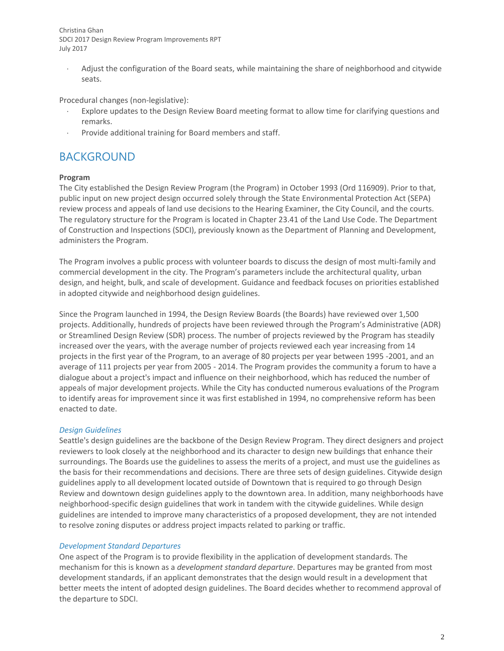Adjust the configuration of the Board seats, while maintaining the share of neighborhood and citywide seats.

Procedural changes (non-legislative):

- Explore updates to the Design Review Board meeting format to allow time for clarifying questions and remarks.
- Provide additional training for Board members and staff.

## BACKGROUND

### **Program**

The City established the Design Review Program (the Program) in October 1993 (Ord 116909). Prior to that, public input on new project design occurred solely through the State Environmental Protection Act (SEPA) review process and appeals of land use decisions to the Hearing Examiner, the City Council, and the courts. The regulatory structure for the Program is located in Chapter 23.41 of the Land Use Code. The Department of Construction and Inspections (SDCI), previously known as the Department of Planning and Development, administers the Program.

The Program involves a public process with volunteer boards to discuss the design of most multi-family and commercial development in the city. The Program's parameters include the architectural quality, urban design, and height, bulk, and scale of development. Guidance and feedback focuses on priorities established in adopted citywide and neighborhood design guidelines.

Since the Program launched in 1994, the Design Review Boards (the Boards) have reviewed over 1,500 projects. Additionally, hundreds of projects have been reviewed through the Program's Administrative (ADR) or Streamlined Design Review (SDR) process. The number of projects reviewed by the Program has steadily increased over the years, with the average number of projects reviewed each year increasing from 14 projects in the first year of the Program, to an average of 80 projects per year between 1995 -2001, and an average of 111 projects per year from 2005 - 2014. The Program provides the community a forum to have a dialogue about a project's impact and influence on their neighborhood, which has reduced the number of appeals of major development projects. While the City has conducted numerous evaluations of the Program to identify areas for improvement since it was first established in 1994, no comprehensive reform has been enacted to date.

#### *Design Guidelines*

Seattle's design guidelines are the backbone of the Design Review Program. They direct designers and project reviewers to look closely at the neighborhood and its character to design new buildings that enhance their surroundings. The Boards use the guidelines to assess the merits of a project, and must use the guidelines as the basis for their recommendations and decisions. There are three sets of design guidelines. Citywide design guidelines apply to all development located outside of Downtown that is required to go through Design Review and downtown design guidelines apply to the downtown area. In addition, many neighborhoods have neighborhood-specific design guidelines that work in tandem with the citywide guidelines. While design guidelines are intended to improve many characteristics of a proposed development, they are not intended to resolve zoning disputes or address project impacts related to parking or traffic.

#### *Development Standard Departures*

One aspect of the Program is to provide flexibility in the application of development standards. The mechanism for this is known as a *development standard departure*. Departures may be granted from most development standards, if an applicant demonstrates that the design would result in a development that better meets the intent of adopted design guidelines. The Board decides whether to recommend approval of the departure to SDCI.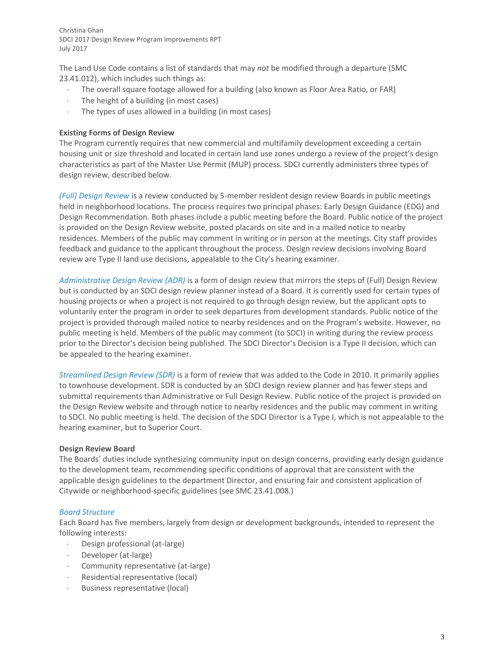The Land Use Code contains a list of standards that may *not* be modified through a departure (SMC 23.41.012), which includes such things as:

- The overall square footage allowed for a building (also known as Floor Area Ratio, or FAR)
- $\cdot$  The height of a building (in most cases)
- The types of uses allowed in a building (in most cases)

#### **Existing Forms of Design Review**

The Program currently requires that new commercial and multifamily development exceeding a certain housing unit or size threshold and located in certain land use zones undergo a review of the project's design characteristics as part of the Master Use Permit (MUP) process. SDCI currently administers three types of design review, described below.

*(Full) Design Review* is a review conducted by 5-member resident design review Boards in public meetings held in neighborhood locations. The process requires two principal phases: Early Design Guidance (EDG) and Design Recommendation. Both phases include a public meeting before the Board. Public notice of the project is provided on the Design Review website, posted placards on site and in a mailed notice to nearby residences. Members of the public may comment in writing or in person at the meetings. City staff provides feedback and guidance to the applicant throughout the process. Design review decisions involving Board review are Type II land use decisions, appealable to the City's hearing examiner.

*Administrative Design Review (ADR)* is a form of design review that mirrors the steps of (Full) Design Review but is conducted by an SDCI design review planner instead of a Board. It is currently used for certain types of housing projects or when a project is not required to go through design review, but the applicant opts to voluntarily enter the program in order to seek departures from development standards. Public notice of the project is provided thorough mailed notice to nearby residences and on the Program's website. However, no public meeting is held. Members of the public may comment (to SDCI) in writing during the review process prior to the Director's decision being published. The SDCI Director's Decision is a Type II decision, which can be appealed to the hearing examiner.

*Streamlined Design Review (SDR)* is a form of review that was added to the Code in 2010. It primarily applies to townhouse development. SDR is conducted by an SDCI design review planner and has fewer steps and submittal requirements than Administrative or Full Design Review. Public notice of the project is provided on the Design Review website and through notice to nearby residences and the public may comment in writing to SDCI. No public meeting is held. The decision of the SDCI Director is a Type I, which is not appealable to the hearing examiner, but to Superior Court.

#### **Design Review Board**

The Boards' duties include synthesizing community input on design concerns, providing early design guidance to the development team, recommending specific conditions of approval that are consistent with the applicable design guidelines to the department Director, and ensuring fair and consistent application of Citywide or neighborhood-specific guidelines (see SMC 23.41.008.)

#### *Board Structure*

Each Board has five members, largely from design or development backgrounds, intended to represent the following interests:

- Design professional (at-large)
- Developer (at-large)
- Community representative (at-large)
- Residential representative (local)
- Business representative (local)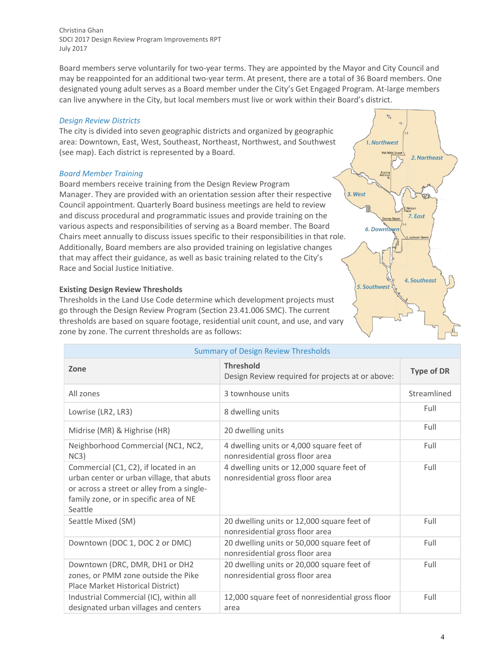Board members serve voluntarily for two-year terms. They are appointed by the Mayor and City Council and may be reappointed for an additional two-year term. At present, there are a total of 36 Board members. One designated young adult serves as a Board member under the City's Get Engaged Program. At-large members can live anywhere in the City, but local members must live or work within their Board's district.

#### *Design Review Districts*

The city is divided into seven geographic districts and organized by geographic area: Downtown, East, West, Southeast, Northeast, Northwest, and Southwest (see map). Each district is represented by a Board.

### *Board Member Training*

Board members receive training from the Design Review Program Manager. They are provided with an orientation session after their respective Council appointment. Quarterly Board business meetings are held to review and discuss procedural and programmatic issues and provide training on the various aspects and responsibilities of serving as a Board member. The Board Chairs meet annually to discuss issues specific to their responsibilities in that role. Additionally, Board members are also provided training on legislative changes that may affect their guidance, as well as basic training related to the City's Race and Social Justice Initiative.

### **Existing Design Review Thresholds**

Thresholds in the Land Use Code determine which development projects must go through the Design Review Program (Section 23.41.006 SMC). The current thresholds are based on square footage, residential unit count, and use, and vary zone by zone. The current thresholds are as follows:



| <b>Summary of Design Review Thresholds</b>                                                                                                                                            |                                                                               |                   |  |
|---------------------------------------------------------------------------------------------------------------------------------------------------------------------------------------|-------------------------------------------------------------------------------|-------------------|--|
| Zone                                                                                                                                                                                  | <b>Threshold</b><br>Design Review required for projects at or above:          | <b>Type of DR</b> |  |
| All zones                                                                                                                                                                             | 3 townhouse units                                                             | Streamlined       |  |
| Lowrise (LR2, LR3)                                                                                                                                                                    | 8 dwelling units                                                              | Full              |  |
| Midrise (MR) & Highrise (HR)                                                                                                                                                          | 20 dwelling units                                                             | Full              |  |
| Neighborhood Commercial (NC1, NC2,<br>NC3)                                                                                                                                            | 4 dwelling units or 4,000 square feet of<br>nonresidential gross floor area   | Full              |  |
| Commercial (C1, C2), if located in an<br>urban center or urban village, that abuts<br>or across a street or alley from a single-<br>family zone, or in specific area of NE<br>Seattle | 4 dwelling units or 12,000 square feet of<br>nonresidential gross floor area  | Full              |  |
| Seattle Mixed (SM)                                                                                                                                                                    | 20 dwelling units or 12,000 square feet of<br>nonresidential gross floor area | Full              |  |
| Downtown (DOC 1, DOC 2 or DMC)                                                                                                                                                        | 20 dwelling units or 50,000 square feet of<br>nonresidential gross floor area | Full              |  |
| Downtown (DRC, DMR, DH1 or DH2<br>zones, or PMM zone outside the Pike<br>Place Market Historical District)                                                                            | 20 dwelling units or 20,000 square feet of<br>nonresidential gross floor area | Full              |  |
| Industrial Commercial (IC), within all<br>designated urban villages and centers                                                                                                       | 12,000 square feet of nonresidential gross floor<br>area                      | Full              |  |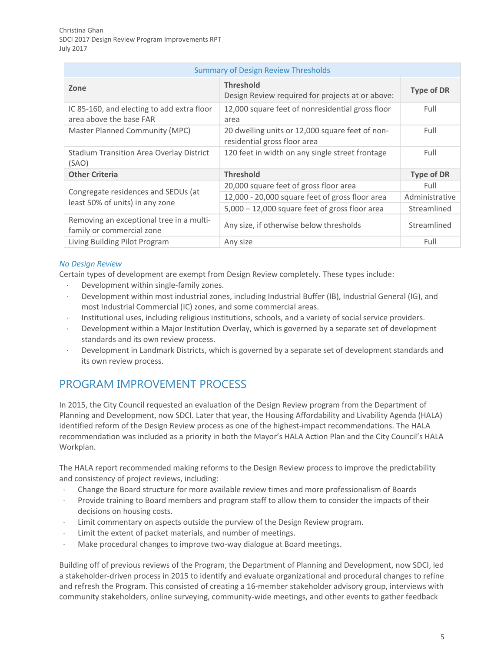| <b>Summary of Design Review Thresholds</b>                             |                                                                                 |                   |  |
|------------------------------------------------------------------------|---------------------------------------------------------------------------------|-------------------|--|
| Zone                                                                   | <b>Threshold</b><br>Design Review required for projects at or above:            | <b>Type of DR</b> |  |
| IC 85-160, and electing to add extra floor<br>area above the base FAR  | 12,000 square feet of nonresidential gross floor<br>area                        | Full              |  |
| Master Planned Community (MPC)                                         | 20 dwelling units or 12,000 square feet of non-<br>residential gross floor area | Full              |  |
| <b>Stadium Transition Area Overlay District</b><br>(SAO)               | 120 feet in width on any single street frontage                                 | Full              |  |
| <b>Other Criteria</b>                                                  | <b>Threshold</b>                                                                | <b>Type of DR</b> |  |
| Congregate residences and SEDUs (at<br>least 50% of units) in any zone | 20,000 square feet of gross floor area                                          | Full              |  |
|                                                                        | 12,000 - 20,000 square feet of gross floor area                                 | Administrative    |  |
|                                                                        | 5,000 - 12,000 square feet of gross floor area                                  | Streamlined       |  |
| Removing an exceptional tree in a multi-<br>family or commercial zone  | Any size, if otherwise below thresholds                                         | Streamlined       |  |
| Living Building Pilot Program                                          | Any size                                                                        | Full              |  |

## *No Design Review*

Certain types of development are exempt from Design Review completely. These types include:

- Development within single-family zones.
- Development within most industrial zones, including Industrial Buffer (IB), Industrial General (IG), and most Industrial Commercial (IC) zones, and some commercial areas.
- Institutional uses, including religious institutions, schools, and a variety of social service providers.
- Development within a Major Institution Overlay, which is governed by a separate set of development standards and its own review process.
- Development in Landmark Districts, which is governed by a separate set of development standards and its own review process.

## PROGRAM IMPROVEMENT PROCESS

In 2015, the City Council requested an evaluation of the Design Review program from the Department of Planning and Development, now SDCI. Later that year, the Housing Affordability and Livability Agenda (HALA) identified reform of the Design Review process as one of the highest-impact recommendations. The HALA recommendation was included as a priority in both the Mayor's HALA Action Plan and the City Council's HALA Workplan.

The HALA report recommended making reforms to the Design Review process to improve the predictability and consistency of project reviews, including:

- Change the Board structure for more available review times and more professionalism of Boards
- Provide training to Board members and program staff to allow them to consider the impacts of their decisions on housing costs.
- Limit commentary on aspects outside the purview of the Design Review program.
- Limit the extent of packet materials, and number of meetings.
- Make procedural changes to improve two-way dialogue at Board meetings.

Building off of previous reviews of the Program, the Department of Planning and Development, now SDCI, led a stakeholder-driven process in 2015 to identify and evaluate organizational and procedural changes to refine and refresh the Program. This consisted of creating a 16-member stakeholder advisory group, interviews with community stakeholders, online surveying, community-wide meetings, and other events to gather feedback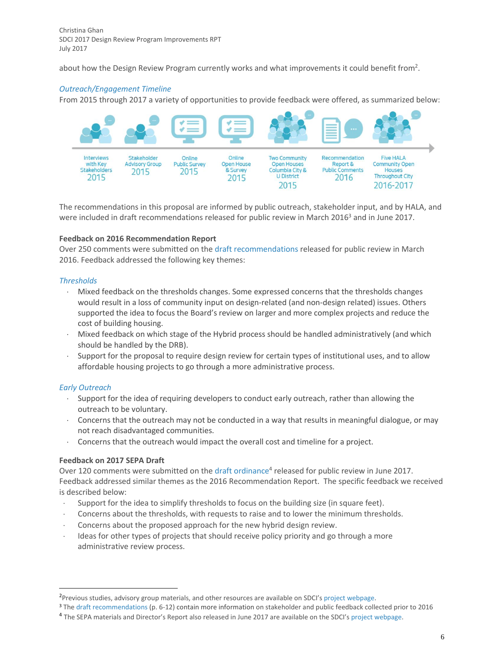about how the Design Review Program currently works and what improvements it could benefit from<sup>2</sup>.

## *Outreach/Engagement Timeline*

From 2015 through 2017 a variety of opportunities to provide feedback were offered, as summarized below:



The recommendations in this proposal are informed by public outreach, stakeholder input, and by HALA, and were included in draft recommendations released for public review in March 2016<sup>3</sup> and in June 2017.

#### **Feedback on 2016 Recommendation Report**

Over 250 comments were submitted on the [draft recommendations](http://www.seattle.gov/dpd/cs/groups/pan/@pan/documents/web_informational/p2401481.pdf) released for public review in March 2016. Feedback addressed the following key themes:

### *Thresholds*

- Mixed feedback on the thresholds changes. Some expressed concerns that the thresholds changes would result in a loss of community input on design-related (and non-design related) issues. Others supported the idea to focus the Board's review on larger and more complex projects and reduce the cost of building housing.
- Mixed feedback on which stage of the Hybrid process should be handled administratively (and which should be handled by the DRB).
- Support for the proposal to require design review for certain types of institutional uses, and to allow affordable housing projects to go through a more administrative process.

## *Early Outreach*

 $\overline{a}$ 

- Support for the idea of requiring developers to conduct early outreach, rather than allowing the outreach to be voluntary.
- Concerns that the outreach may not be conducted in a way that results in meaningful dialogue, or may not reach disadvantaged communities.
- Concerns that the outreach would impact the overall cost and timeline for a project.

## **Feedback on 2017 SEPA Draft**

Over 120 comments were submitted on the [draft ordinance](http://www.seattle.gov/dpd/cs/groups/pan/@pan/documents/web_informational/p3276890.pdf)<sup>4</sup> released for public review in June 2017. Feedback addressed similar themes as the 2016 Recommendation Report. The specific feedback we received is described below:

- Support for the idea to simplify thresholds to focus on the building size (in square feet).
- Concerns about the thresholds, with requests to raise and to lower the minimum thresholds.
- Concerns about the proposed approach for the new hybrid design review.
- Ideas for other types of projects that should receive policy priority and go through a more administrative review process.

<sup>&</sup>lt;sup>2</sup>Previous studies, advisory group materials, and other resources are available on SDCI's [project webpage.](http://www.seattle.gov/dpd/codesrules/changestocode/designreviewprogramimprovements/projectdocuments/default.htm)

<sup>3</sup> Th[e draft recommendations](http://www.seattle.gov/dpd/cs/groups/pan/@pan/documents/web_informational/p2401481.pdf) (p. 6-12) contain more information on stakeholder and public feedback collected prior to 2016

<sup>&</sup>lt;sup>4</sup> The SEPA materials and Director's Report also released in June 2017 are available on the SDCI's [project webpage.](http://www.seattle.gov/dpd/codesrules/changestocode/designreviewprogramimprovements/projectdocuments/default.htm)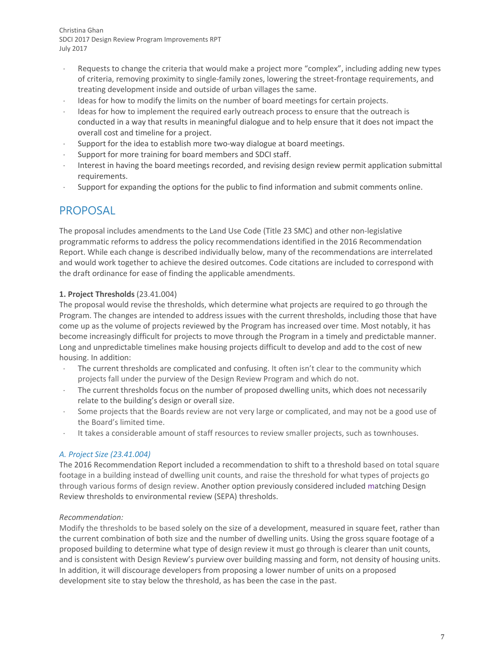- Requests to change the criteria that would make a project more "complex", including adding new types of criteria, removing proximity to single-family zones, lowering the street-frontage requirements, and treating development inside and outside of urban villages the same.
- Ideas for how to modify the limits on the number of board meetings for certain projects.
- Ideas for how to implement the required early outreach process to ensure that the outreach is conducted in a way that results in meaningful dialogue and to help ensure that it does not impact the overall cost and timeline for a project.
- Support for the idea to establish more two-way dialogue at board meetings.
- Support for more training for board members and SDCI staff.
- Interest in having the board meetings recorded, and revising design review permit application submittal requirements.
- Support for expanding the options for the public to find information and submit comments online.

## PROPOSAL

The proposal includes amendments to the Land Use Code (Title 23 SMC) and other non-legislative programmatic reforms to address the policy recommendations identified in the 2016 Recommendation Report. While each change is described individually below, many of the recommendations are interrelated and would work together to achieve the desired outcomes. Code citations are included to correspond with the draft ordinance for ease of finding the applicable amendments.

## **1. Project Thresholds** (23.41.004)

The proposal would revise the thresholds, which determine what projects are required to go through the Program. The changes are intended to address issues with the current thresholds, including those that have come up as the volume of projects reviewed by the Program has increased over time. Most notably, it has become increasingly difficult for projects to move through the Program in a timely and predictable manner. Long and unpredictable timelines make housing projects difficult to develop and add to the cost of new housing. In addition:

- The current thresholds are complicated and confusing. It often isn't clear to the community which projects fall under the purview of the Design Review Program and which do not.
- The current thresholds focus on the number of proposed dwelling units, which does not necessarily relate to the building's design or overall size.
- Some projects that the Boards review are not very large or complicated, and may not be a good use of the Board's limited time.
- It takes a considerable amount of staff resources to review smaller projects, such as townhouses.

## *A. Project Size (23.41.004)*

The 2016 Recommendation Report included a recommendation to shift to a threshold based on total square footage in a building instead of dwelling unit counts, and raise the threshold for what types of projects go through various forms of design review. Another option previously considered included matching Design Review thresholds to environmental review (SEPA) thresholds.

## *Recommendation:*

Modify the thresholds to be based solely on the size of a development, measured in square feet, rather than the current combination of both size and the number of dwelling units. Using the gross square footage of a proposed building to determine what type of design review it must go through is clearer than unit counts, and is consistent with Design Review's purview over building massing and form, not density of housing units. In addition, it will discourage developers from proposing a lower number of units on a proposed development site to stay below the threshold, as has been the case in the past.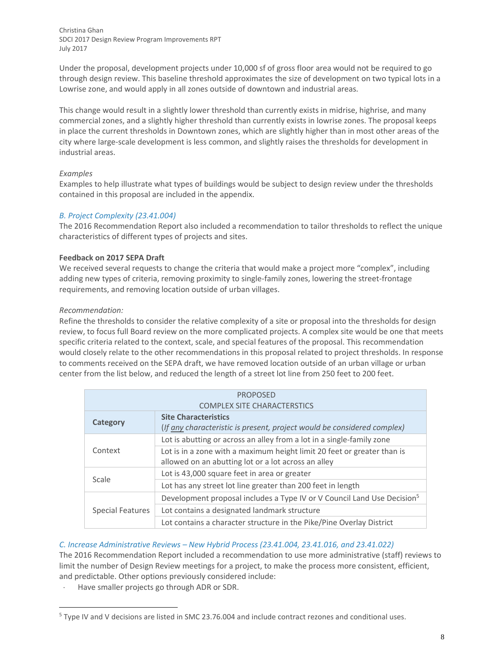Under the proposal, development projects under 10,000 sf of gross floor area would not be required to go through design review. This baseline threshold approximates the size of development on two typical lots in a Lowrise zone, and would apply in all zones outside of downtown and industrial areas.

This change would result in a slightly lower threshold than currently exists in midrise, highrise, and many commercial zones, and a slightly higher threshold than currently exists in lowrise zones. The proposal keeps in place the current thresholds in Downtown zones, which are slightly higher than in most other areas of the city where large-scale development is less common, and slightly raises the thresholds for development in industrial areas.

### *Examples*

Examples to help illustrate what types of buildings would be subject to design review under the thresholds contained in this proposal are included in the appendix.

### *B. Project Complexity (23.41.004)*

The 2016 Recommendation Report also included a recommendation to tailor thresholds to reflect the unique characteristics of different types of projects and sites.

### **Feedback on 2017 SEPA Draft**

We received several requests to change the criteria that would make a project more "complex", including adding new types of criteria, removing proximity to single-family zones, lowering the street-frontage requirements, and removing location outside of urban villages.

### *Recommendation:*

 $\overline{a}$ 

Refine the thresholds to consider the relative complexity of a site or proposal into the thresholds for design review, to focus full Board review on the more complicated projects. A complex site would be one that meets specific criteria related to the context, scale, and special features of the proposal. This recommendation would closely relate to the other recommendations in this proposal related to project thresholds. In response to comments received on the SEPA draft, we have removed location outside of an urban village or urban center from the list below, and reduced the length of a street lot line from 250 feet to 200 feet.

| <b>PROPOSED</b>                    |                                                                                     |  |
|------------------------------------|-------------------------------------------------------------------------------------|--|
| <b>COMPLEX SITE CHARACTERSTICS</b> |                                                                                     |  |
| <b>Category</b>                    | <b>Site Characteristics</b>                                                         |  |
|                                    | (If any characteristic is present, project would be considered complex)             |  |
| Context                            | Lot is abutting or across an alley from a lot in a single-family zone               |  |
|                                    | Lot is in a zone with a maximum height limit 20 feet or greater than is             |  |
|                                    | allowed on an abutting lot or a lot across an alley                                 |  |
| Scale                              | Lot is 43,000 square feet in area or greater                                        |  |
|                                    | Lot has any street lot line greater than 200 feet in length                         |  |
| Special Features                   | Development proposal includes a Type IV or V Council Land Use Decision <sup>5</sup> |  |
|                                    | Lot contains a designated landmark structure                                        |  |
|                                    | Lot contains a character structure in the Pike/Pine Overlay District                |  |

## *C. Increase Administrative Reviews – New Hybrid Process (23.41.004, 23.41.016, and 23.41.022)*

The 2016 Recommendation Report included a recommendation to use more administrative (staff) reviews to limit the number of Design Review meetings for a project, to make the process more consistent, efficient, and predictable. Other options previously considered include:

Have smaller projects go through ADR or SDR.

<sup>5</sup> Type IV and V decisions are listed in SMC 23.76.004 and include contract rezones and conditional uses.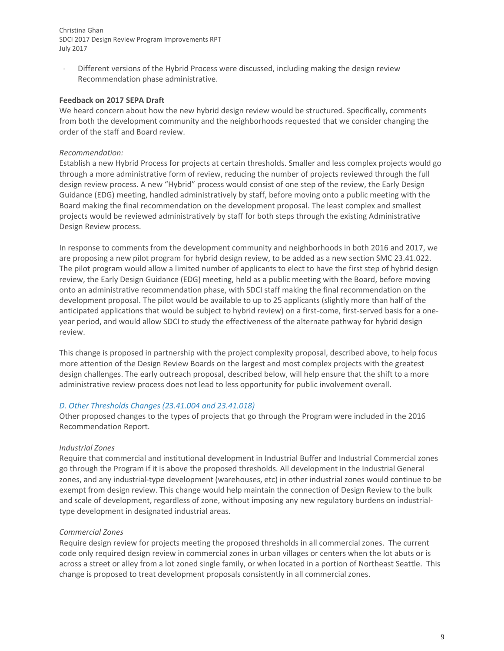Different versions of the Hybrid Process were discussed, including making the design review Recommendation phase administrative.

#### **Feedback on 2017 SEPA Draft**

We heard concern about how the new hybrid design review would be structured. Specifically, comments from both the development community and the neighborhoods requested that we consider changing the order of the staff and Board review.

### *Recommendation:*

Establish a new Hybrid Process for projects at certain thresholds. Smaller and less complex projects would go through a more administrative form of review, reducing the number of projects reviewed through the full design review process. A new "Hybrid" process would consist of one step of the review, the Early Design Guidance (EDG) meeting, handled administratively by staff, before moving onto a public meeting with the Board making the final recommendation on the development proposal. The least complex and smallest projects would be reviewed administratively by staff for both steps through the existing Administrative Design Review process.

In response to comments from the development community and neighborhoods in both 2016 and 2017, we are proposing a new pilot program for hybrid design review, to be added as a new section SMC 23.41.022. The pilot program would allow a limited number of applicants to elect to have the first step of hybrid design review, the Early Design Guidance (EDG) meeting, held as a public meeting with the Board, before moving onto an administrative recommendation phase, with SDCI staff making the final recommendation on the development proposal. The pilot would be available to up to 25 applicants (slightly more than half of the anticipated applications that would be subject to hybrid review) on a first-come, first-served basis for a oneyear period, and would allow SDCI to study the effectiveness of the alternate pathway for hybrid design review.

This change is proposed in partnership with the project complexity proposal, described above, to help focus more attention of the Design Review Boards on the largest and most complex projects with the greatest design challenges. The early outreach proposal, described below, will help ensure that the shift to a more administrative review process does not lead to less opportunity for public involvement overall.

#### *D. Other Thresholds Changes (23.41.004 and 23.41.018)*

Other proposed changes to the types of projects that go through the Program were included in the 2016 Recommendation Report.

## *Industrial Zones*

Require that commercial and institutional development in Industrial Buffer and Industrial Commercial zones go through the Program if it is above the proposed thresholds. All development in the Industrial General zones, and any industrial-type development (warehouses, etc) in other industrial zones would continue to be exempt from design review. This change would help maintain the connection of Design Review to the bulk and scale of development, regardless of zone, without imposing any new regulatory burdens on industrialtype development in designated industrial areas.

#### *Commercial Zones*

Require design review for projects meeting the proposed thresholds in all commercial zones. The current code only required design review in commercial zones in urban villages or centers when the lot abuts or is across a street or alley from a lot zoned single family, or when located in a portion of Northeast Seattle. This change is proposed to treat development proposals consistently in all commercial zones.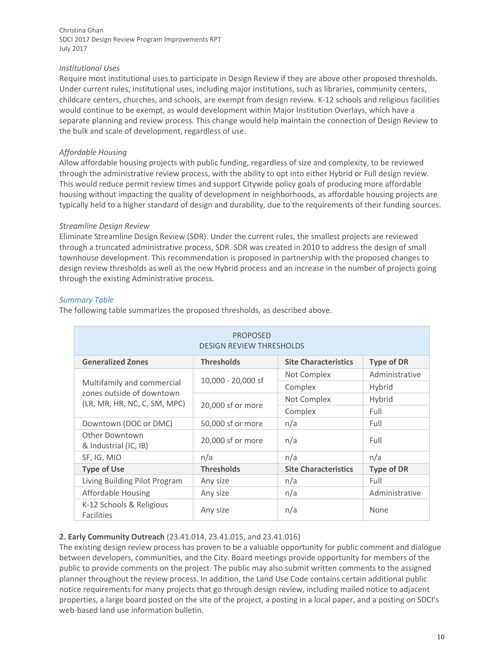### *Institutional Uses*

Require most institutional uses to participate in Design Review if they are above other proposed thresholds. Under current rules, institutional uses, including major institutions, such as libraries, community centers, childcare centers, churches, and schools, are exempt from design review. K-12 schools and religious facilities would continue to be exempt, as would development within Major Institution Overlays, which have a separate planning and review process. This change would help maintain the connection of Design Review to the bulk and scale of development, regardless of use.

## *Affordable Housing*

Allow affordable housing projects with public funding, regardless of size and complexity, to be reviewed through the administrative review process, with the ability to opt into either Hybrid or Full design review. This would reduce permit review times and support Citywide policy goals of producing more affordable housing without impacting the quality of development in neighborhoods, as affordable housing projects are typically held to a higher standard of design and durability, due to the requirements of their funding sources.

### *Streamline Design Review*

Eliminate Streamline Design Review (SDR). Under the current rules, the smallest projects are reviewed through a truncated administrative process, SDR. SDR was created in 2010 to address the design of small townhouse development. This recommendation is proposed in partnership with the proposed changes to design review thresholds as well as the new Hybrid process and an increase in the number of projects going through the existing Administrative process.

### *Summary Table*

The following table summarizes the proposed thresholds, as described above.

| <b>PROPOSED</b><br><b>DESIGN REVIEW THRESHOLDS</b>        |                    |                             |                   |
|-----------------------------------------------------------|--------------------|-----------------------------|-------------------|
| <b>Generalized Zones</b>                                  | <b>Thresholds</b>  | <b>Site Characteristics</b> | <b>Type of DR</b> |
|                                                           |                    | Not Complex                 | Administrative    |
| Multifamily and commercial                                | 10,000 - 20,000 sf | Complex                     | Hybrid            |
| zones outside of downtown<br>(LR, MR, HR, NC, C, SM, MPC) | 20,000 sf or more  | Not Complex                 | Hybrid            |
|                                                           |                    | Complex                     | Full              |
| Downtown (DOC or DMC)                                     | 50,000 sf or more  | n/a                         | Full              |
| Other Downtown<br>& Industrial (IC, IB)                   | 20,000 sf or more  | n/a                         | Full              |
| SF, IG, MIO                                               | n/a                | n/a                         | n/a               |
| <b>Type of Use</b>                                        | <b>Thresholds</b>  | <b>Site Characteristics</b> | <b>Type of DR</b> |
| Living Building Pilot Program                             | Any size           | n/a                         | Full              |
| <b>Affordable Housing</b>                                 | Any size           | n/a                         | Administrative    |
| K-12 Schools & Religious<br><b>Facilities</b>             | Any size           | n/a                         | None              |

## **2. Early Community Outreach** (23.41.014, 23.41.015, and 23.41.016)

The existing design review process has proven to be a valuable opportunity for public comment and dialogue between developers, communities, and the City. Board meetings provide opportunity for members of the public to provide comments on the project. The public may also submit written comments to the assigned planner throughout the review process. In addition, the Land Use Code contains certain additional public notice requirements for many projects that go through design review, including mailed notice to adjacent properties, a large board posted on the site of the project, a posting in a local paper, and a posting on SDCI's web-based land use information bulletin.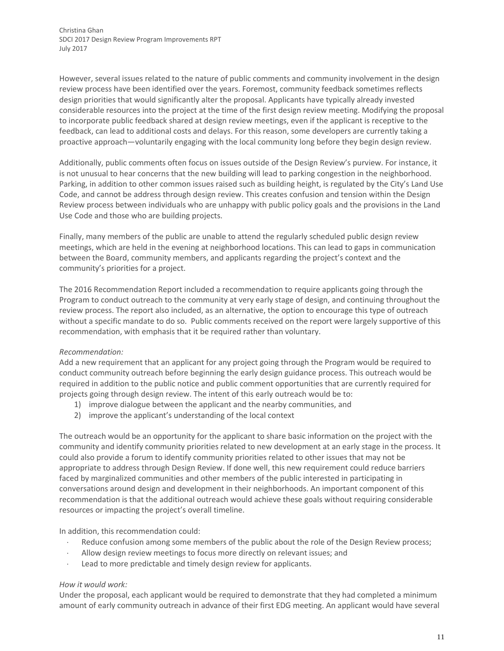However, several issues related to the nature of public comments and community involvement in the design review process have been identified over the years. Foremost, community feedback sometimes reflects design priorities that would significantly alter the proposal. Applicants have typically already invested considerable resources into the project at the time of the first design review meeting. Modifying the proposal to incorporate public feedback shared at design review meetings, even if the applicant is receptive to the feedback, can lead to additional costs and delays. For this reason, some developers are currently taking a proactive approach—voluntarily engaging with the local community long before they begin design review.

Additionally, public comments often focus on issues outside of the Design Review's purview. For instance, it is not unusual to hear concerns that the new building will lead to parking congestion in the neighborhood. Parking, in addition to other common issues raised such as building height, is regulated by the City's Land Use Code, and cannot be address through design review. This creates confusion and tension within the Design Review process between individuals who are unhappy with public policy goals and the provisions in the Land Use Code and those who are building projects.

Finally, many members of the public are unable to attend the regularly scheduled public design review meetings, which are held in the evening at neighborhood locations. This can lead to gaps in communication between the Board, community members, and applicants regarding the project's context and the community's priorities for a project.

The 2016 Recommendation Report included a recommendation to require applicants going through the Program to conduct outreach to the community at very early stage of design, and continuing throughout the review process. The report also included, as an alternative, the option to encourage this type of outreach without a specific mandate to do so. Public comments received on the report were largely supportive of this recommendation, with emphasis that it be required rather than voluntary.

## *Recommendation:*

Add a new requirement that an applicant for any project going through the Program would be required to conduct community outreach before beginning the early design guidance process. This outreach would be required in addition to the public notice and public comment opportunities that are currently required for projects going through design review. The intent of this early outreach would be to:

- 1) improve dialogue between the applicant and the nearby communities, and
- 2) improve the applicant's understanding of the local context

The outreach would be an opportunity for the applicant to share basic information on the project with the community and identify community priorities related to new development at an early stage in the process. It could also provide a forum to identify community priorities related to other issues that may not be appropriate to address through Design Review. If done well, this new requirement could reduce barriers faced by marginalized communities and other members of the public interested in participating in conversations around design and development in their neighborhoods. An important component of this recommendation is that the additional outreach would achieve these goals without requiring considerable resources or impacting the project's overall timeline.

In addition, this recommendation could:

- Reduce confusion among some members of the public about the role of the Design Review process;
- Allow design review meetings to focus more directly on relevant issues; and
- Lead to more predictable and timely design review for applicants.

## *How it would work:*

Under the proposal, each applicant would be required to demonstrate that they had completed a minimum amount of early community outreach in advance of their first EDG meeting. An applicant would have several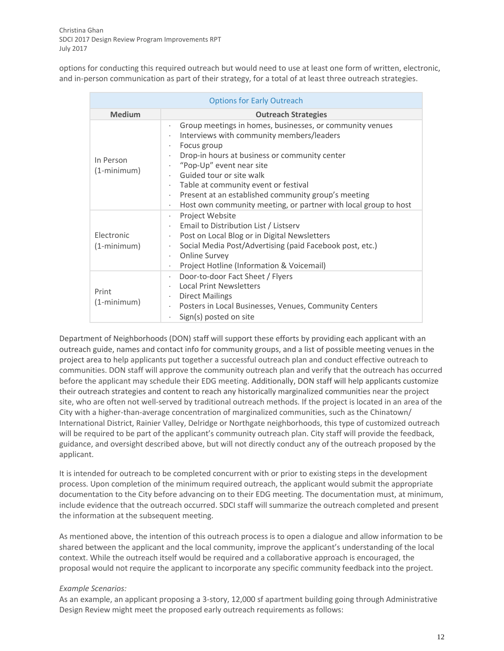options for conducting this required outreach but would need to use at least one form of written, electronic, and in-person communication as part of their strategy, for a total of at least three outreach strategies.

| <b>Options for Early Outreach</b> |                                                                                                                                                                                                                                                                                                                                                                                                                        |  |  |
|-----------------------------------|------------------------------------------------------------------------------------------------------------------------------------------------------------------------------------------------------------------------------------------------------------------------------------------------------------------------------------------------------------------------------------------------------------------------|--|--|
| <b>Medium</b>                     | <b>Outreach Strategies</b>                                                                                                                                                                                                                                                                                                                                                                                             |  |  |
| In Person<br>$(1-minimum)$        | Group meetings in homes, businesses, or community venues<br>Interviews with community members/leaders<br>Focus group<br>٠<br>Drop-in hours at business or community center<br>"Pop-Up" event near site<br>Guided tour or site walk<br>Table at community event or festival<br>Present at an established community group's meeting<br>٠<br>Host own community meeting, or partner with local group to host<br>$\bullet$ |  |  |
| Electronic<br>$(1-minimum)$       | Project Website<br>٠<br>Email to Distribution List / Listserv<br>$\bullet$<br>Post on Local Blog or in Digital Newsletters<br>$\bullet$<br>Social Media Post/Advertising (paid Facebook post, etc.)<br>$\bullet$<br><b>Online Survey</b><br>٠<br>Project Hotline (Information & Voicemail)<br>٠                                                                                                                        |  |  |
| Print<br>$(1 - minimum)$          | Door-to-door Fact Sheet / Flyers<br>$\bullet$<br><b>Local Print Newsletters</b><br><b>Direct Mailings</b><br>٠<br>Posters in Local Businesses, Venues, Community Centers<br>٠<br>Sign(s) posted on site                                                                                                                                                                                                                |  |  |

Department of Neighborhoods (DON) staff will support these efforts by providing each applicant with an outreach guide, names and contact info for community groups, and a list of possible meeting venues in the project area to help applicants put together a successful outreach plan and conduct effective outreach to communities. DON staff will approve the community outreach plan and verify that the outreach has occurred before the applicant may schedule their EDG meeting. Additionally, DON staff will help applicants customize their outreach strategies and content to reach any historically marginalized communities near the project site, who are often not well-served by traditional outreach methods. If the project is located in an area of the City with a higher-than-average concentration of marginalized communities, such as the Chinatown/ International District, Rainier Valley, Delridge or Northgate neighborhoods, this type of customized outreach will be required to be part of the applicant's community outreach plan. City staff will provide the feedback, guidance, and oversight described above, but will not directly conduct any of the outreach proposed by the applicant.

It is intended for outreach to be completed concurrent with or prior to existing steps in the development process. Upon completion of the minimum required outreach, the applicant would submit the appropriate documentation to the City before advancing on to their EDG meeting. The documentation must, at minimum, include evidence that the outreach occurred. SDCI staff will summarize the outreach completed and present the information at the subsequent meeting.

As mentioned above, the intention of this outreach process is to open a dialogue and allow information to be shared between the applicant and the local community, improve the applicant's understanding of the local context. While the outreach itself would be required and a collaborative approach is encouraged, the proposal would not require the applicant to incorporate any specific community feedback into the project.

#### *Example Scenarios:*

As an example, an applicant proposing a 3-story, 12,000 sf apartment building going through Administrative Design Review might meet the proposed early outreach requirements as follows: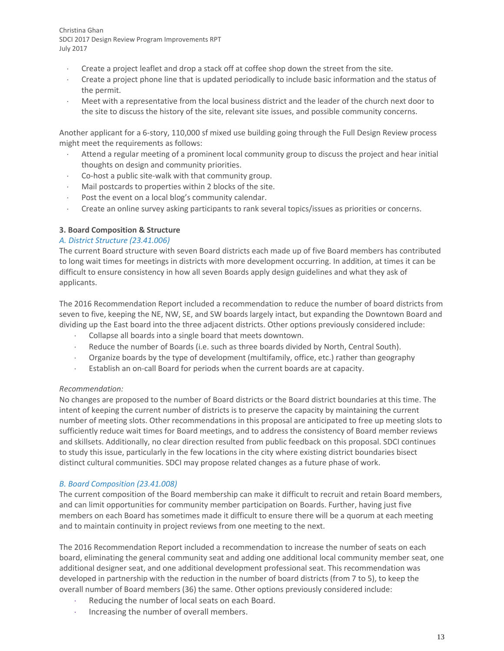- Create a project leaflet and drop a stack off at coffee shop down the street from the site.
- Create a project phone line that is updated periodically to include basic information and the status of the permit.
- Meet with a representative from the local business district and the leader of the church next door to the site to discuss the history of the site, relevant site issues, and possible community concerns.

Another applicant for a 6-story, 110,000 sf mixed use building going through the Full Design Review process might meet the requirements as follows:

- Attend a regular meeting of a prominent local community group to discuss the project and hear initial thoughts on design and community priorities.
- Co-host a public site-walk with that community group.
- Mail postcards to properties within 2 blocks of the site.
- Post the event on a local blog's community calendar.
- Create an online survey asking participants to rank several topics/issues as priorities or concerns.

### **3. Board Composition & Structure**

### *A. District Structure (23.41.006)*

The current Board structure with seven Board districts each made up of five Board members has contributed to long wait times for meetings in districts with more development occurring. In addition, at times it can be difficult to ensure consistency in how all seven Boards apply design guidelines and what they ask of applicants.

The 2016 Recommendation Report included a recommendation to reduce the number of board districts from seven to five, keeping the NE, NW, SE, and SW boards largely intact, but expanding the Downtown Board and dividing up the East board into the three adjacent districts. Other options previously considered include:

- Collapse all boards into a single board that meets downtown.
- Reduce the number of Boards (i.e. such as three boards divided by North, Central South).
- Organize boards by the type of development (multifamily, office, etc.) rather than geography
- Establish an on-call Board for periods when the current boards are at capacity.

#### *Recommendation:*

No changes are proposed to the number of Board districts or the Board district boundaries at this time. The intent of keeping the current number of districts is to preserve the capacity by maintaining the current number of meeting slots. Other recommendations in this proposal are anticipated to free up meeting slots to sufficiently reduce wait times for Board meetings, and to address the consistency of Board member reviews and skillsets. Additionally, no clear direction resulted from public feedback on this proposal. SDCI continues to study this issue, particularly in the few locations in the city where existing district boundaries bisect distinct cultural communities. SDCI may propose related changes as a future phase of work.

#### *B. Board Composition (23.41.008)*

The current composition of the Board membership can make it difficult to recruit and retain Board members, and can limit opportunities for community member participation on Boards. Further, having just five members on each Board has sometimes made it difficult to ensure there will be a quorum at each meeting and to maintain continuity in project reviews from one meeting to the next.

The 2016 Recommendation Report included a recommendation to increase the number of seats on each board, eliminating the general community seat and adding one additional local community member seat, one additional designer seat, and one additional development professional seat. This recommendation was developed in partnership with the reduction in the number of board districts (from 7 to 5), to keep the overall number of Board members (36) the same. Other options previously considered include:

- Reducing the number of local seats on each Board.
- $\cdot$  Increasing the number of overall members.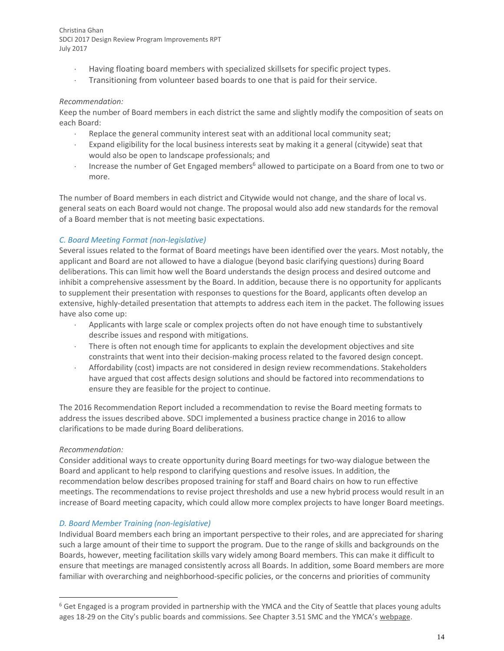- Having floating board members with specialized skillsets for specific project types.
- Transitioning from volunteer based boards to one that is paid for their service.

### *Recommendation:*

Keep the number of Board members in each district the same and slightly modify the composition of seats on each Board:

- Replace the general community interest seat with an additional local community seat;
- Expand eligibility for the local business interests seat by making it a general (citywide) seat that would also be open to landscape professionals; and
- Increase the number of Get Engaged members<sup>6</sup> allowed to participate on a Board from one to two or more.

The number of Board members in each district and Citywide would not change, and the share of local vs. general seats on each Board would not change. The proposal would also add new standards for the removal of a Board member that is not meeting basic expectations.

## *C. Board Meeting Format (non-legislative)*

Several issues related to the format of Board meetings have been identified over the years. Most notably, the applicant and Board are not allowed to have a dialogue (beyond basic clarifying questions) during Board deliberations. This can limit how well the Board understands the design process and desired outcome and inhibit a comprehensive assessment by the Board. In addition, because there is no opportunity for applicants to supplement their presentation with responses to questions for the Board, applicants often develop an extensive, highly-detailed presentation that attempts to address each item in the packet. The following issues have also come up:

- Applicants with large scale or complex projects often do not have enough time to substantively describe issues and respond with mitigations.
- There is often not enough time for applicants to explain the development objectives and site constraints that went into their decision-making process related to the favored design concept.
- Affordability (cost) impacts are not considered in design review recommendations. Stakeholders have argued that cost affects design solutions and should be factored into recommendations to ensure they are feasible for the project to continue.

The 2016 Recommendation Report included a recommendation to revise the Board meeting formats to address the issues described above. SDCI implemented a business practice change in 2016 to allow clarifications to be made during Board deliberations.

## *Recommendation:*

 $\overline{a}$ 

Consider additional ways to create opportunity during Board meetings for two-way dialogue between the Board and applicant to help respond to clarifying questions and resolve issues. In addition, the recommendation below describes proposed training for staff and Board chairs on how to run effective meetings. The recommendations to revise project thresholds and use a new hybrid process would result in an increase of Board meeting capacity, which could allow more complex projects to have longer Board meetings.

## *D. Board Member Training (non-legislative)*

Individual Board members each bring an important perspective to their roles, and are appreciated for sharing such a large amount of their time to support the program. Due to the range of skills and backgrounds on the Boards, however, meeting facilitation skills vary widely among Board members. This can make it difficult to ensure that meetings are managed consistently across all Boards. In addition, some Board members are more familiar with overarching and neighborhood-specific policies, or the concerns and priorities of community

 $6$  Get Engaged is a program provided in partnership with the YMCA and the City of Seattle that places young adults ages 18-29 on the City's public boards and commissions. See Chapter 3.51 SMC and the YMCA's [webpage.](http://www.seattleymca.org/accelerator/leadershipdevelopment/getengaged/)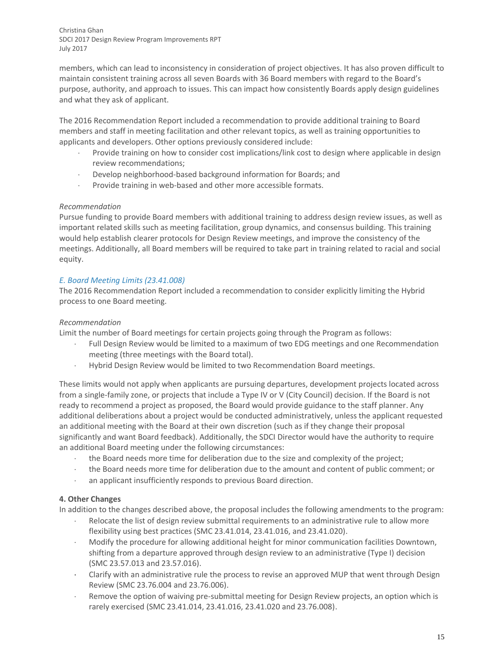members, which can lead to inconsistency in consideration of project objectives. It has also proven difficult to maintain consistent training across all seven Boards with 36 Board members with regard to the Board's purpose, authority, and approach to issues. This can impact how consistently Boards apply design guidelines and what they ask of applicant.

The 2016 Recommendation Report included a recommendation to provide additional training to Board members and staff in meeting facilitation and other relevant topics, as well as training opportunities to applicants and developers. Other options previously considered include:

- Provide training on how to consider cost implications/link cost to design where applicable in design review recommendations;
- Develop neighborhood-based background information for Boards; and
- Provide training in web-based and other more accessible formats.

## *Recommendation*

Pursue funding to provide Board members with additional training to address design review issues, as well as important related skills such as meeting facilitation, group dynamics, and consensus building. This training would help establish clearer protocols for Design Review meetings, and improve the consistency of the meetings. Additionally, all Board members will be required to take part in training related to racial and social equity.

## *E. Board Meeting Limits (23.41.008)*

The 2016 Recommendation Report included a recommendation to consider explicitly limiting the Hybrid process to one Board meeting.

## *Recommendation*

Limit the number of Board meetings for certain projects going through the Program as follows:

- Full Design Review would be limited to a maximum of two EDG meetings and one Recommendation meeting (three meetings with the Board total).
- Hybrid Design Review would be limited to two Recommendation Board meetings.

These limits would not apply when applicants are pursuing departures, development projects located across from a single-family zone, or projects that include a Type IV or V (City Council) decision. If the Board is not ready to recommend a project as proposed, the Board would provide guidance to the staff planner. Any additional deliberations about a project would be conducted administratively, unless the applicant requested an additional meeting with the Board at their own discretion (such as if they change their proposal significantly and want Board feedback). Additionally, the SDCI Director would have the authority to require an additional Board meeting under the following circumstances:

- the Board needs more time for deliberation due to the size and complexity of the project;
- the Board needs more time for deliberation due to the amount and content of public comment; or
- an applicant insufficiently responds to previous Board direction.

## **4. Other Changes**

In addition to the changes described above, the proposal includes the following amendments to the program:

- Relocate the list of design review submittal requirements to an administrative rule to allow more flexibility using best practices (SMC 23.41.014, 23.41.016, and 23.41.020).
- Modify the procedure for allowing additional height for minor communication facilities Downtown, shifting from a departure approved through design review to an administrative (Type I) decision (SMC 23.57.013 and 23.57.016).
- Clarify with an administrative rule the process to revise an approved MUP that went through Design Review (SMC 23.76.004 and 23.76.006).
- Remove the option of waiving pre-submittal meeting for Design Review projects, an option which is rarely exercised (SMC 23.41.014, 23.41.016, 23.41.020 and 23.76.008).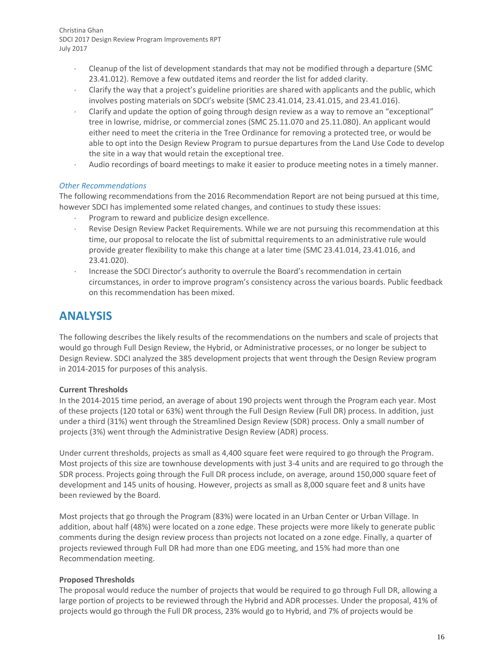- Cleanup of the list of development standards that may not be modified through a departure (SMC 23.41.012). Remove a few outdated items and reorder the list for added clarity.
- Clarify the way that a project's guideline priorities are shared with applicants and the public, which involves posting materials on SDCI's website (SMC 23.41.014, 23.41.015, and 23.41.016).
- Clarify and update the option of going through design review as a way to remove an "exceptional" tree in lowrise, midrise, or commercial zones (SMC 25.11.070 and 25.11.080). An applicant would either need to meet the criteria in the Tree Ordinance for removing a protected tree, or would be able to opt into the Design Review Program to pursue departures from the Land Use Code to develop the site in a way that would retain the exceptional tree.
- Audio recordings of board meetings to make it easier to produce meeting notes in a timely manner.

### *Other Recommendations*

The following recommendations from the 2016 Recommendation Report are not being pursued at this time, however SDCI has implemented some related changes, and continues to study these issues:

- Program to reward and publicize design excellence.
- Revise Design Review Packet Requirements. While we are not pursuing this recommendation at this time, our proposal to relocate the list of submittal requirements to an administrative rule would provide greater flexibility to make this change at a later time (SMC 23.41.014, 23.41.016, and 23.41.020).
- Increase the SDCI Director's authority to overrule the Board's recommendation in certain circumstances, in order to improve program's consistency across the various boards. Public feedback on this recommendation has been mixed.

## **ANALYSIS**

The following describes the likely results of the recommendations on the numbers and scale of projects that would go through Full Design Review, the Hybrid, or Administrative processes, or no longer be subject to Design Review. SDCI analyzed the 385 development projects that went through the Design Review program in 2014-2015 for purposes of this analysis.

## **Current Thresholds**

In the 2014-2015 time period, an average of about 190 projects went through the Program each year. Most of these projects (120 total or 63%) went through the Full Design Review (Full DR) process. In addition, just under a third (31%) went through the Streamlined Design Review (SDR) process. Only a small number of projects (3%) went through the Administrative Design Review (ADR) process.

Under current thresholds, projects as small as 4,400 square feet were required to go through the Program. Most projects of this size are townhouse developments with just 3-4 units and are required to go through the SDR process. Projects going through the Full DR process include, on average, around 150,000 square feet of development and 145 units of housing. However, projects as small as 8,000 square feet and 8 units have been reviewed by the Board.

Most projects that go through the Program (83%) were located in an Urban Center or Urban Village. In addition, about half (48%) were located on a zone edge. These projects were more likely to generate public comments during the design review process than projects not located on a zone edge. Finally, a quarter of projects reviewed through Full DR had more than one EDG meeting, and 15% had more than one Recommendation meeting.

## **Proposed Thresholds**

The proposal would reduce the number of projects that would be required to go through Full DR, allowing a large portion of projects to be reviewed through the Hybrid and ADR processes. Under the proposal, 41% of projects would go through the Full DR process, 23% would go to Hybrid, and 7% of projects would be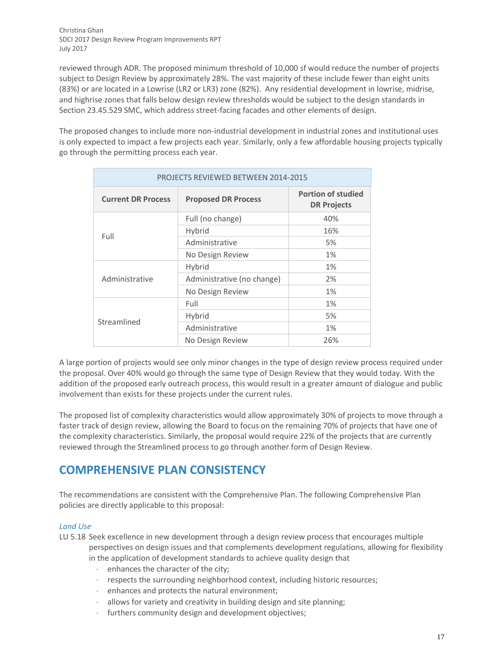reviewed through ADR. The proposed minimum threshold of 10,000 sf would reduce the number of projects subject to Design Review by approximately 28%. The vast majority of these include fewer than eight units (83%) or are located in a Lowrise (LR2 or LR3) zone (82%). Any residential development in lowrise, midrise, and highrise zones that falls below design review thresholds would be subject to the design standards in Section 23.45.529 SMC, which address street-facing facades and other elements of design.

The proposed changes to include more non-industrial development in industrial zones and institutional uses is only expected to impact a few projects each year. Similarly, only a few affordable housing projects typically go through the permitting process each year.

| <b>PROJECTS REVIEWED BETWEEN 2014-2015</b> |                            |                                                 |  |
|--------------------------------------------|----------------------------|-------------------------------------------------|--|
| <b>Current DR Process</b>                  | <b>Proposed DR Process</b> | <b>Portion of studied</b><br><b>DR Projects</b> |  |
| Full                                       | Full (no change)           | 40%                                             |  |
|                                            | Hybrid                     | 16%                                             |  |
|                                            | Administrative             | 5%                                              |  |
|                                            | No Design Review           | 1%                                              |  |
| Administrative                             | Hybrid                     | 1%                                              |  |
|                                            | Administrative (no change) | 2%                                              |  |
|                                            | No Design Review           | 1%                                              |  |
| Streamlined                                | Full                       | 1%                                              |  |
|                                            | Hybrid                     | 5%                                              |  |
|                                            | Administrative             | 1%                                              |  |
|                                            | No Design Review           | 26%                                             |  |

A large portion of projects would see only minor changes in the type of design review process required under the proposal. Over 40% would go through the same type of Design Review that they would today. With the addition of the proposed early outreach process, this would result in a greater amount of dialogue and public involvement than exists for these projects under the current rules.

The proposed list of complexity characteristics would allow approximately 30% of projects to move through a faster track of design review, allowing the Board to focus on the remaining 70% of projects that have one of the complexity characteristics. Similarly, the proposal would require 22% of the projects that are currently reviewed through the Streamlined process to go through another form of Design Review.

## **COMPREHENSIVE PLAN CONSISTENCY**

The recommendations are consistent with the Comprehensive Plan. The following Comprehensive Plan policies are directly applicable to this proposal:

## *Land Use*

LU 5.18 Seek excellence in new development through a design review process that encourages multiple perspectives on design issues and that complements development regulations, allowing for flexibility

in the application of development standards to achieve quality design that

- enhances the character of the city;
- respects the surrounding neighborhood context, including historic resources;
- enhances and protects the natural environment;
- allows for variety and creativity in building design and site planning;
- furthers community design and development objectives;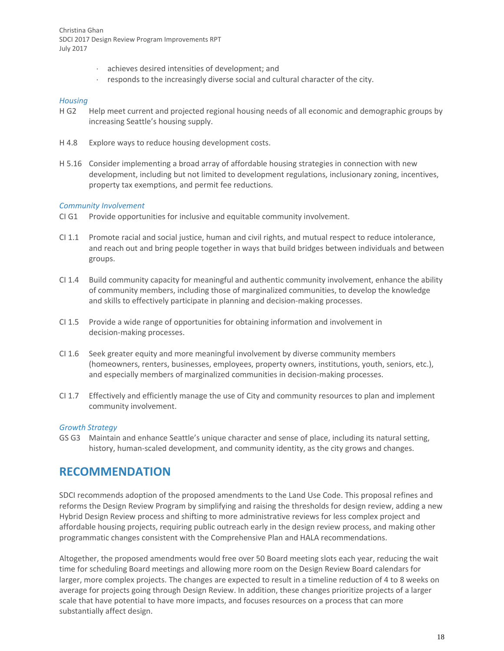- achieves desired intensities of development; and
- $r$  responds to the increasingly diverse social and cultural character of the city.

#### *Housing*

- H G2 Help meet current and projected regional housing needs of all economic and demographic groups by increasing Seattle's housing supply.
- H 4.8 Explore ways to reduce housing development costs.
- H 5.16 Consider implementing a broad array of affordable housing strategies in connection with new development, including but not limited to development regulations, inclusionary zoning, incentives, property tax exemptions, and permit fee reductions.

### *Community Involvement*

- CI G1 Provide opportunities for inclusive and equitable community involvement.
- CI 1.1 Promote racial and social justice, human and civil rights, and mutual respect to reduce intolerance, and reach out and bring people together in ways that build bridges between individuals and between groups.
- CI 1.4 Build community capacity for meaningful and authentic community involvement, enhance the ability of community members, including those of marginalized communities, to develop the knowledge and skills to effectively participate in planning and decision-making processes.
- CI 1.5 Provide a wide range of opportunities for obtaining information and involvement in decision-making processes.
- CI 1.6 Seek greater equity and more meaningful involvement by diverse community members (homeowners, renters, businesses, employees, property owners, institutions, youth, seniors, etc.), and especially members of marginalized communities in decision-making processes.
- CI 1.7 Effectively and efficiently manage the use of City and community resources to plan and implement community involvement.

## *Growth Strategy*

GS G3 Maintain and enhance Seattle's unique character and sense of place, including its natural setting, history, human-scaled development, and community identity, as the city grows and changes.

## **RECOMMENDATION**

SDCI recommends adoption of the proposed amendments to the Land Use Code. This proposal refines and reforms the Design Review Program by simplifying and raising the thresholds for design review, adding a new Hybrid Design Review process and shifting to more administrative reviews for less complex project and affordable housing projects, requiring public outreach early in the design review process, and making other programmatic changes consistent with the Comprehensive Plan and HALA recommendations.

Altogether, the proposed amendments would free over 50 Board meeting slots each year, reducing the wait time for scheduling Board meetings and allowing more room on the Design Review Board calendars for larger, more complex projects. The changes are expected to result in a timeline reduction of 4 to 8 weeks on average for projects going through Design Review. In addition, these changes prioritize projects of a larger scale that have potential to have more impacts, and focuses resources on a process that can more substantially affect design.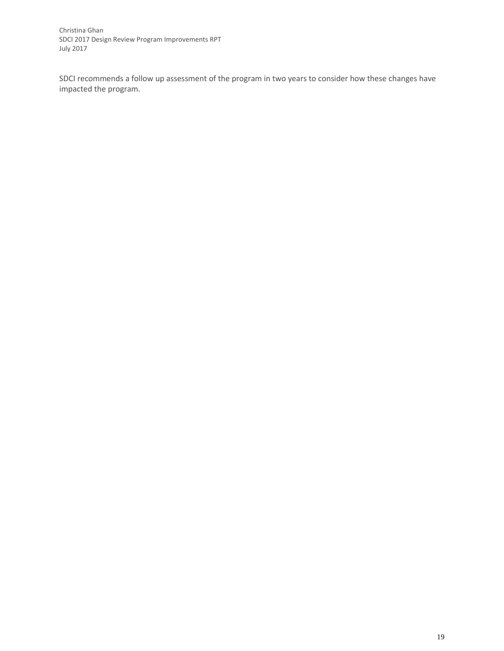SDCI recommends a follow up assessment of the program in two years to consider how these changes have impacted the program.